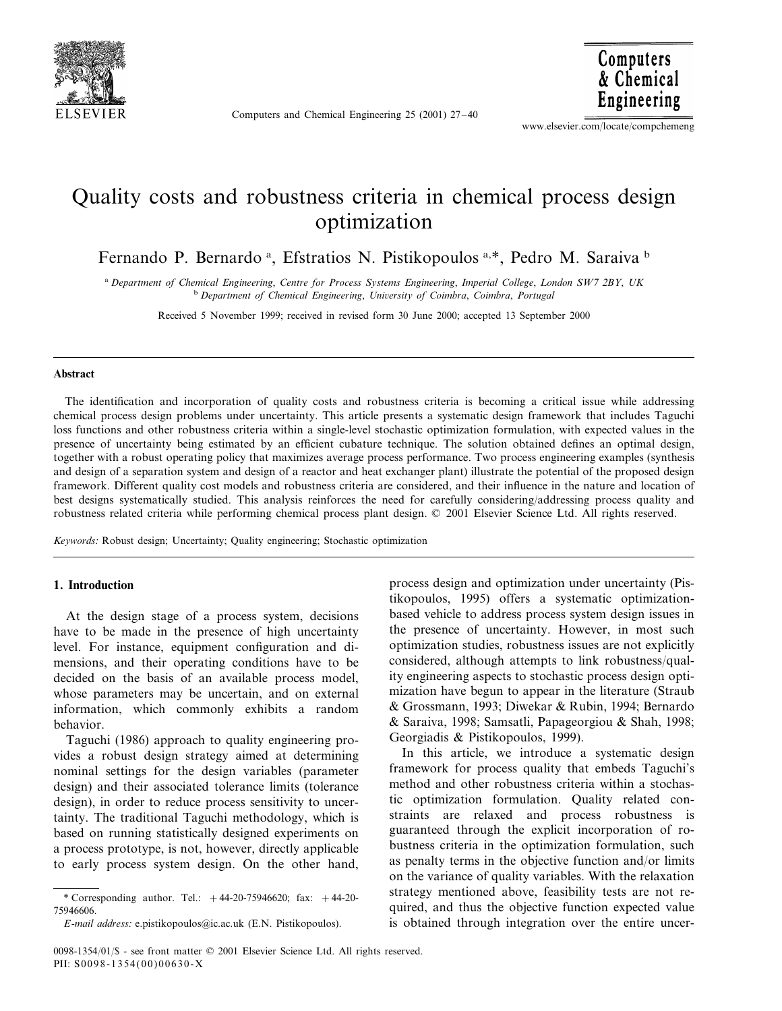

Computers and Chemical Engineering 25 (2001) 27–40

Computers & Chemical Engineering

www.elsevier.com/locate/compchemeng

## Quality costs and robustness criteria in chemical process design optimization

Fernando P. Bernardo<sup>a</sup>, Efstratios N. Pistikopoulos<sup>a,\*</sup>, Pedro M. Saraiva<sup>b</sup>

<sup>a</sup> *Department of Chemical Engineering*, *Centre for Process Systems Engineering*, *Imperial College*, *London SW*<sup>7</sup> <sup>2</sup>*BY*, *UK* <sup>b</sup> Department of Chemical Engineering, University of Coimbra, Coimbra, Portugal

Received 5 November 1999; received in revised form 30 June 2000; accepted 13 September 2000

#### **Abstract**

The identification and incorporation of quality costs and robustness criteria is becoming a critical issue while addressing chemical process design problems under uncertainty. This article presents a systematic design framework that includes Taguchi loss functions and other robustness criteria within a single-level stochastic optimization formulation, with expected values in the presence of uncertainty being estimated by an efficient cubature technique. The solution obtained defines an optimal design, together with a robust operating policy that maximizes average process performance. Two process engineering examples (synthesis and design of a separation system and design of a reactor and heat exchanger plant) illustrate the potential of the proposed design framework. Different quality cost models and robustness criteria are considered, and their influence in the nature and location of best designs systematically studied. This analysis reinforces the need for carefully considering/addressing process quality and robustness related criteria while performing chemical process plant design. © 2001 Elsevier Science Ltd. All rights reserved.

*Keywords*: Robust design; Uncertainty; Quality engineering; Stochastic optimization

#### **1. Introduction**

At the design stage of a process system, decisions have to be made in the presence of high uncertainty level. For instance, equipment configuration and dimensions, and their operating conditions have to be decided on the basis of an available process model, whose parameters may be uncertain, and on external information, which commonly exhibits a random behavior.

Taguchi (1986) approach to quality engineering provides a robust design strategy aimed at determining nominal settings for the design variables (parameter design) and their associated tolerance limits (tolerance design), in order to reduce process sensitivity to uncertainty. The traditional Taguchi methodology, which is based on running statistically designed experiments on a process prototype, is not, however, directly applicable to early process system design. On the other hand,

process design and optimization under uncertainty (Pistikopoulos, 1995) offers a systematic optimizationbased vehicle to address process system design issues in the presence of uncertainty. However, in most such optimization studies, robustness issues are not explicitly considered, although attempts to link robustness/quality engineering aspects to stochastic process design optimization have begun to appear in the literature (Straub & Grossmann, 1993; Diwekar & Rubin, 1994; Bernardo & Saraiva, 1998; Samsatli, Papageorgiou & Shah, 1998; Georgiadis & Pistikopoulos, 1999).

In this article, we introduce a systematic design framework for process quality that embeds Taguchi's method and other robustness criteria within a stochastic optimization formulation. Quality related constraints are relaxed and process robustness is guaranteed through the explicit incorporation of robustness criteria in the optimization formulation, such as penalty terms in the objective function and/or limits on the variance of quality variables. With the relaxation strategy mentioned above, feasibility tests are not required, and thus the objective function expected value is obtained through integration over the entire uncer-

<sup>\*</sup> Corresponding author. Tel.:  $+44-20-75946620$ ; fax:  $+44-20-$ 75946606.

*E*-*mail address*: e.pistikopoulos@ic.ac.uk (E.N. Pistikopoulos).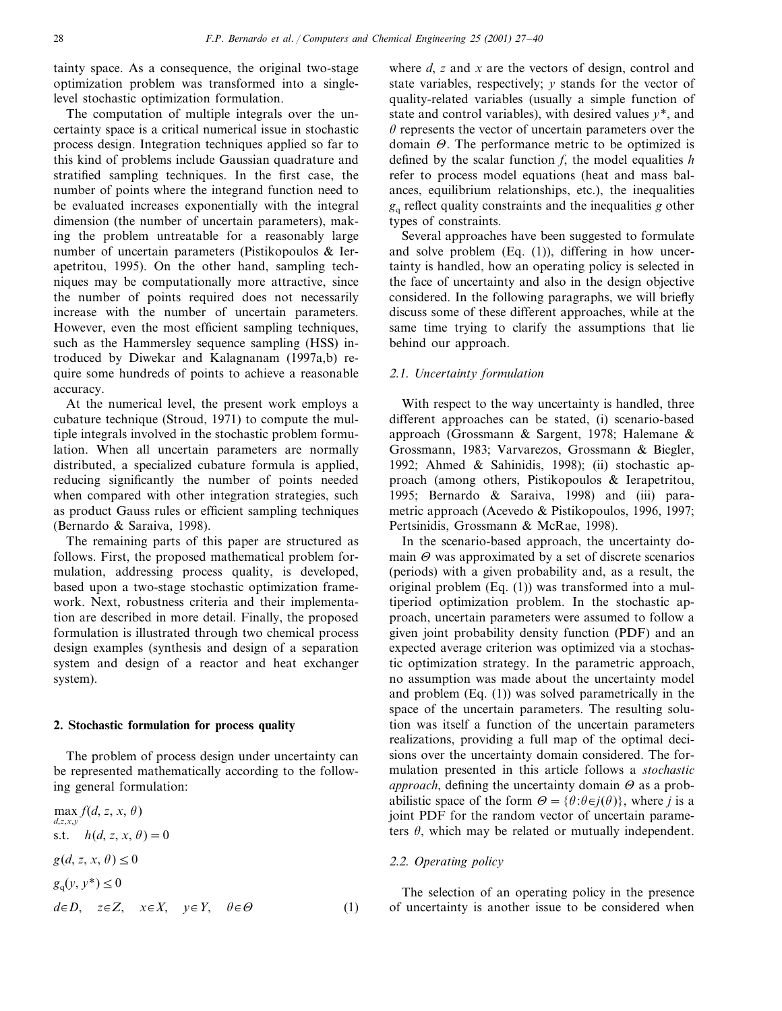tainty space. As a consequence, the original two-stage optimization problem was transformed into a singlelevel stochastic optimization formulation.

The computation of multiple integrals over the uncertainty space is a critical numerical issue in stochastic process design. Integration techniques applied so far to this kind of problems include Gaussian quadrature and stratified sampling techniques. In the first case, the number of points where the integrand function need to be evaluated increases exponentially with the integral dimension (the number of uncertain parameters), making the problem untreatable for a reasonably large number of uncertain parameters (Pistikopoulos & Ierapetritou, 1995). On the other hand, sampling techniques may be computationally more attractive, since the number of points required does not necessarily increase with the number of uncertain parameters. However, even the most efficient sampling techniques, such as the Hammersley sequence sampling (HSS) introduced by Diwekar and Kalagnanam (1997a,b) require some hundreds of points to achieve a reasonable accuracy.

At the numerical level, the present work employs a cubature technique (Stroud, 1971) to compute the multiple integrals involved in the stochastic problem formulation. When all uncertain parameters are normally distributed, a specialized cubature formula is applied, reducing significantly the number of points needed when compared with other integration strategies, such as product Gauss rules or efficient sampling techniques (Bernardo & Saraiva, 1998).

The remaining parts of this paper are structured as follows. First, the proposed mathematical problem formulation, addressing process quality, is developed, based upon a two-stage stochastic optimization framework. Next, robustness criteria and their implementation are described in more detail. Finally, the proposed formulation is illustrated through two chemical process design examples (synthesis and design of a separation system and design of a reactor and heat exchanger system).

#### **2. Stochastic formulation for process quality**

The problem of process design under uncertainty can be represented mathematically according to the following general formulation:

 $\max f(d, z, x, \theta)$ *d*,*z*,*x*,*y* s.t.  $h(d, z, x, \theta) = 0$  $g(d, z, x, \theta) \leq 0$  $g_q(y, y^*) \le 0$  $d \in D$ ,  $z \in Z$ ,  $x \in X$ ,  $y \in Y$ ,  $\theta \in \Theta$  (1) where *d*, *z* and *x* are the vectors of design, control and state variables, respectively; *y* stands for the vector of quality-related variables (usually a simple function of state and control variables), with desired values *y*\*, and  $\theta$  represents the vector of uncertain parameters over the domain  $\Theta$ . The performance metric to be optimized is defined by the scalar function *f*, the model equalities *h* refer to process model equations (heat and mass balances, equilibrium relationships, etc.), the inequalities *g*<sup>q</sup> reflect quality constraints and the inequalities *g* other types of constraints.

Several approaches have been suggested to formulate and solve problem (Eq. (1)), differing in how uncertainty is handled, how an operating policy is selected in the face of uncertainty and also in the design objective considered. In the following paragraphs, we will briefly discuss some of these different approaches, while at the same time trying to clarify the assumptions that lie behind our approach.

### <sup>2</sup>.1. *Uncertainty formulation*

With respect to the way uncertainty is handled, three different approaches can be stated, (i) scenario-based approach (Grossmann & Sargent, 1978; Halemane & Grossmann, 1983; Varvarezos, Grossmann & Biegler, 1992; Ahmed & Sahinidis, 1998); (ii) stochastic approach (among others, Pistikopoulos & Ierapetritou, 1995; Bernardo & Saraiva, 1998) and (iii) parametric approach (Acevedo & Pistikopoulos, 1996, 1997; Pertsinidis, Grossmann & McRae, 1998).

In the scenario-based approach, the uncertainty domain  $\Theta$  was approximated by a set of discrete scenarios (periods) with a given probability and, as a result, the original problem (Eq. (1)) was transformed into a multiperiod optimization problem. In the stochastic approach, uncertain parameters were assumed to follow a given joint probability density function (PDF) and an expected average criterion was optimized via a stochastic optimization strategy. In the parametric approach, no assumption was made about the uncertainty model and problem (Eq. (1)) was solved parametrically in the space of the uncertain parameters. The resulting solution was itself a function of the uncertain parameters realizations, providing a full map of the optimal decisions over the uncertainty domain considered. The formulation presented in this article follows a *stochastic approach*, defining the uncertainty domain  $\Theta$  as a probabilistic space of the form  $\Theta = {\theta : \theta \in j(\theta)}$ , where *j* is a joint PDF for the random vector of uncertain parameters  $\theta$ , which may be related or mutually independent.

#### <sup>2</sup>.2. *Operating policy*

The selection of an operating policy in the presence of uncertainty is another issue to be considered when